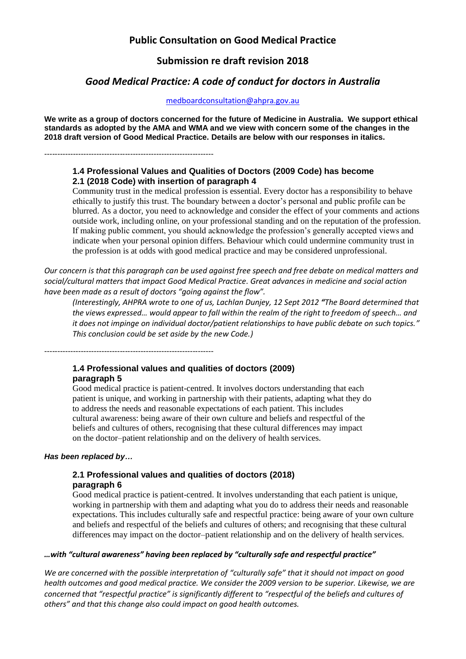# **Public Consultation on Good Medical Practice**

# **Submission re draft revision 2018**

# *Good Medical Practice: A code of conduct for doctors in Australia*

[medboardconsultation@ahpra.gov.au](mailto:medboardconsultation@ahpra.gov.au)

**We write as a group of doctors concerned for the future of Medicine in Australia. We support ethical standards as adopted by the AMA and WMA and we view with concern some of the changes in the 2018 draft version of Good Medical Practice. Details are below with our responses in italics.**

-----------------------------------------------------------------

# **1.4 Professional Values and Qualities of Doctors (2009 Code) has become 2.1 (2018 Code) with insertion of paragraph 4**

Community trust in the medical profession is essential. Every doctor has a responsibility to behave ethically to justify this trust. The boundary between a doctor's personal and public profile can be blurred. As a doctor, you need to acknowledge and consider the effect of your comments and actions outside work, including online, on your professional standing and on the reputation of the profession. If making public comment, you should acknowledge the profession's generally accepted views and indicate when your personal opinion differs. Behaviour which could undermine community trust in the profession is at odds with good medical practice and may be considered unprofessional.

*Our concern is that this paragraph can be used against free speech and free debate on medical matters and social/cultural matters that impact Good Medical Practice. Great advances in medicine and social action have been made as a result of doctors "going against the flow".* 

*(Interestingly, AHPRA wrote to one of us, Lachlan Dunjey, 12 Sept 2012 "The Board determined that the views expressed… would appear to fall within the realm of the right to freedom of speech… and it does not impinge on individual doctor/patient relationships to have public debate on such topics." This conclusion could be set aside by the new Code.)*

# **1.4 Professional values and qualities of doctors (2009) paragraph 5**

Good medical practice is patient-centred. It involves doctors understanding that each patient is unique, and working in partnership with their patients, adapting what they do to address the needs and reasonable expectations of each patient. This includes cultural awareness: being aware of their own culture and beliefs and respectful of the beliefs and cultures of others, recognising that these cultural differences may impact on the doctor–patient relationship and on the delivery of health services.

#### *Has been replaced by…*

# **2.1 Professional values and qualities of doctors (2018) paragraph 6**

Good medical practice is patient-centred. It involves understanding that each patient is unique, working in partnership with them and adapting what you do to address their needs and reasonable expectations. This includes culturally safe and respectful practice: being aware of your own culture and beliefs and respectful of the beliefs and cultures of others; and recognising that these cultural differences may impact on the doctor–patient relationship and on the delivery of health services.

#### *…with "cultural awareness" having been replaced by "culturally safe and respectful practice"*

*We are concerned with the possible interpretation of "culturally safe" that it should not impact on good health outcomes and good medical practice. We consider the 2009 version to be superior. Likewise, we are concerned that "respectful practice" is significantly different to "respectful of the beliefs and cultures of others" and that this change also could impact on good health outcomes.*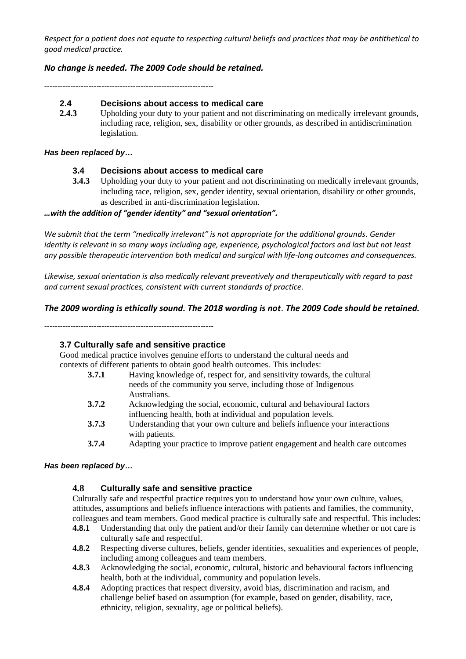*Respect for a patient does not equate to respecting cultural beliefs and practices that may be antithetical to good medical practice.*

# *No change is needed. The 2009 Code should be retained.*

-----------------------------------------------------------------

### **2.4 Decisions about access to medical care**

2.4.3 Upholding your duty to your patient and not discriminating on medically irrelevant grounds, including race, religion, sex, disability or other grounds, as described in antidiscrimination legislation.

#### *Has been replaced by…*

#### **3.4 Decisions about access to medical care**

**3.4.3** Upholding your duty to your patient and not discriminating on medically irrelevant grounds, including race, religion, sex, gender identity, sexual orientation, disability or other grounds, as described in anti-discrimination legislation.

#### *…with the addition of "gender identity" and "sexual orientation".*

*We submit that the term "medically irrelevant" is not appropriate for the additional grounds. Gender identity is relevant in so many ways including age, experience, psychological factors and last but not least any possible therapeutic intervention both medical and surgical with life-long outcomes and consequences.*

*Likewise, sexual orientation is also medically relevant preventively and therapeutically with regard to past and current sexual practices, consistent with current standards of practice.*

#### *The 2009 wording is ethically sound. The 2018 wording is not. The 2009 Code should be retained.*

-----------------------------------------------------------------

# **3.7 Culturally safe and sensitive practice**

Good medical practice involves genuine efforts to understand the cultural needs and contexts of different patients to obtain good health outcomes. This includes:

- **3.7.1** Having knowledge of, respect for, and sensitivity towards, the cultural needs of the community you serve, including those of Indigenous Australians.
- **3.7.2** Acknowledging the social, economic, cultural and behavioural factors influencing health, both at individual and population levels.
- **3.7.3** Understanding that your own culture and beliefs influence your interactions with patients.
- **3.7.4** Adapting your practice to improve patient engagement and health care outcomes

#### *Has been replaced by…*

# **4.8 Culturally safe and sensitive practice**

Culturally safe and respectful practice requires you to understand how your own culture, values, attitudes, assumptions and beliefs influence interactions with patients and families, the community, colleagues and team members. Good medical practice is culturally safe and respectful. This includes:

- **4.8.1** Understanding that only the patient and/or their family can determine whether or not care is culturally safe and respectful.
- **4.8.2** Respecting diverse cultures, beliefs, gender identities, sexualities and experiences of people, including among colleagues and team members.
- **4.8.3** Acknowledging the social, economic, cultural, historic and behavioural factors influencing health, both at the individual, community and population levels.
- **4.8.4** Adopting practices that respect diversity, avoid bias, discrimination and racism, and challenge belief based on assumption (for example, based on gender, disability, race, ethnicity, religion, sexuality, age or political beliefs).